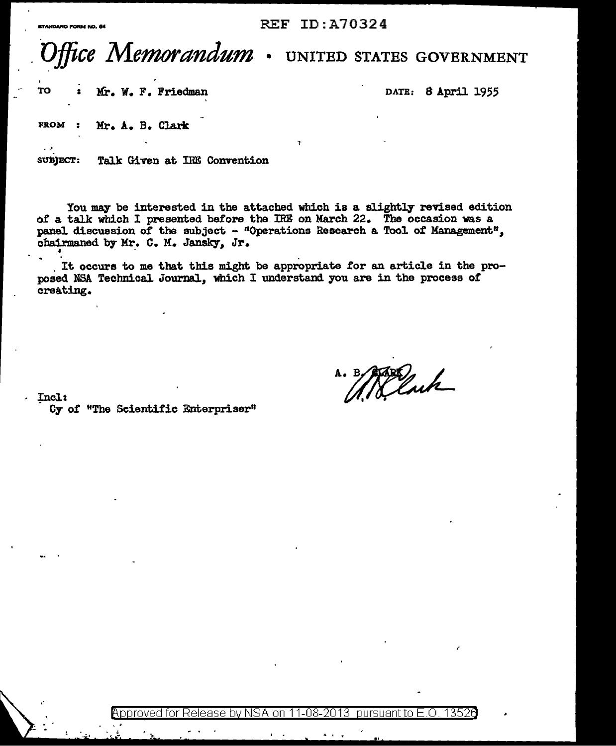## **REF ID: A70324**

## ffice Memor*andum* UNITED STATES GOVERNMENT

TO Mr. W. F. Friedman DATE: 8 April 1955

**FROM** Mr. A. B. Clark

Talk Given at IRE Convention **SUBJECT:** 

You may be interested in the attached which is a slightly revised edition of a talk which I presented before the IRE on March 22. The occasion was a panel discussion of the subject - "Operations Research a Tool of Management", chairmaned by Mr. C. M. Jansky, Jr.

It occurs to me that this might be appropriate for an article in the proposed NSA Technical Journal, which I understand you are in the process of creating.

Incl:

Cy of "The Scientific Enterpriser"

A. B. March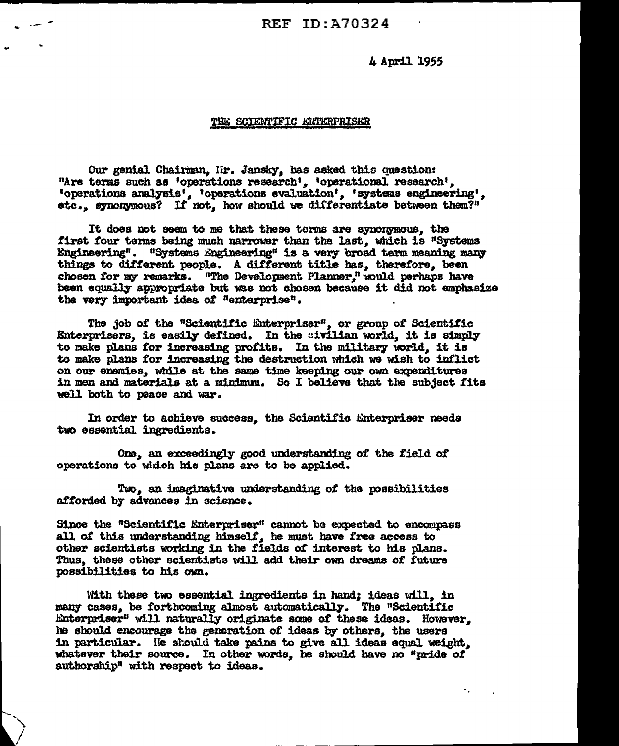**REF ID: A70324** 

4 April 1955

۰.

## THE SCIENTIFIC ENTERPRISER

Our genial Chairman, Mr. Jansky, has asked this question: "Are terms such as 'operations research', 'operational research'. 'operations analysis', 'operations evaluation', 'systems engineering', stc., synonymous? If not, how should we differentiate between them?"

It does not seem to me that these terms are synonymous, the first four terms being much narrower than the last, which is "Systems Engineering". "Systems Engineering" is a very broad term meaning many things to different people. A different title has, therefore, been chosen for my remarks. "The Development Planner." would perhaps have been equally appropriate but was not chosen because it did not emphasize the very important idea of "enterprise".

The job of the "Scientific Enterpriser", or group of Scientific Enterprisers, is easily defined. In the civilian world, it is simply to make plans for increasing profits. In the military world, it is to make plans for increasing the destruction which we wish to inflict on our enemies, while at the same time keeping our own expenditures in men and materials at a minimum. So I believe that the subject fits well both to peace and war.

In order to achieve success, the Scientific Enterpriser needs two essential ingredients.

One, an exceedingly good understanding of the field of operations to which his plans are to be applied.

Two, an imaginative understanding of the possibilities afforded by advances in science.

Since the "Scientific Enterpriser" cannot be expected to encompass all of this understanding himself, he must have free access to other scientists working in the fields of interest to his plans. Thus, these other scientists will add their own dreams of future possibilities to his own.

With these two essential ingredients in hand; ideas will, in many cases, be forthcoming almost automatically. The "Scientific Enterpriser" will naturally originate some of these ideas. However, he should encourage the generation of ideas by others, the users in particular. He should take pains to give all ideas equal weight. whatever their source. In other words, he should have no "pride of authorship" with respect to ideas.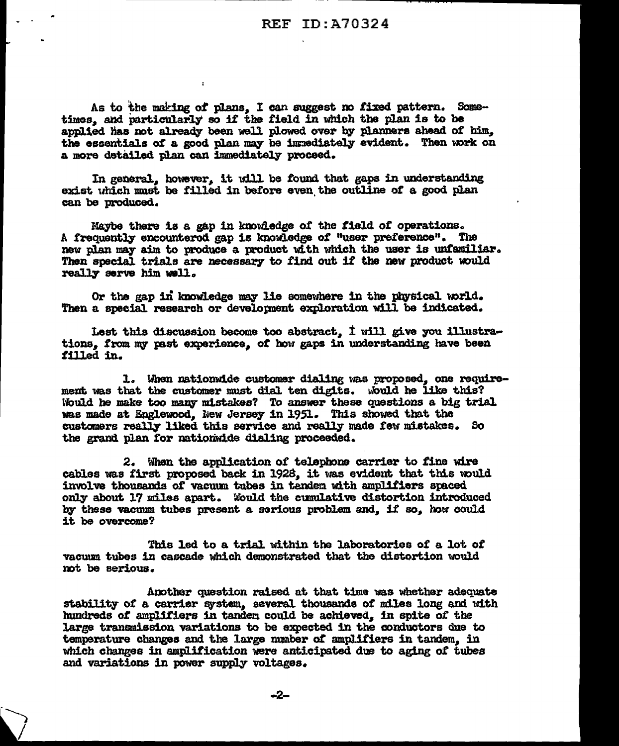As to the making of plans, I can suggest no fixed pattern. Sometimes, and particularly so if the field in which the plan is to be applied has not already been well plowed over by planners ahead of him. the essentials of a good plan may be immediately evident. Then work on a more detailed plan can immediately proceed.

In general, however, it will be found that gaps in understanding exist uhich must be filled in before even the outline of a good plan can be produced.

Maybe there is a gap in knowledge of the field of operations. A frequently encounterod gap is knowledge of "user preference". The new plan may aim to produce a product with which the user is unfamiliar. Then special trials are necessary to find out if the new product would really serve him well.

Or the gap in knowledge may lie somewhere in the physical world. Then a special research or development exploration will be indicated.

Lest this discussion become too abstract,  $1$  will give you illustrations. from my past experience, of how gaps in understanding have been tilled in.

1. When nationwide customer dialing was proposed, one requirement was that the customer must dial ten digits. would he like this? Would be make too many mistakes? To answer these questions a big trial would ne make too many mistakes? To answer these questions a oig trimes made at Englewood, New Jersey in 1951. This showed that the customers really liked this service and really made few mistakes. So the grand plan for nationwide dialing proceeded.

2. When the application *ot* telephone carrier to fine wire cables was first proposed back in 1928, it was evident that this would involve thousands of vacuum tubes in tender with amplifiers spaced only about 17 miles apart. Would the cumulative distortion introduced by these vacuum tubes present a serious problem and. if so, how could it be overcome?

This 1ed to a trial within the laboratories of a. lot *ot*  vacum tubes in cascade which demonstrated that the distortion would mt be serious ..

Another question raised at that time was whether adequate stability of a carrier system, several thousands of miles long and with hundreds *ot* amplifiers in tandea could be achieved,, in spite of the large transmission variations to be expected in the conductors due to temperature changes and the large number of amplifiers in tandem, in which changes in amplification were anticipated due to aging of tubes and variations in power supply voltages.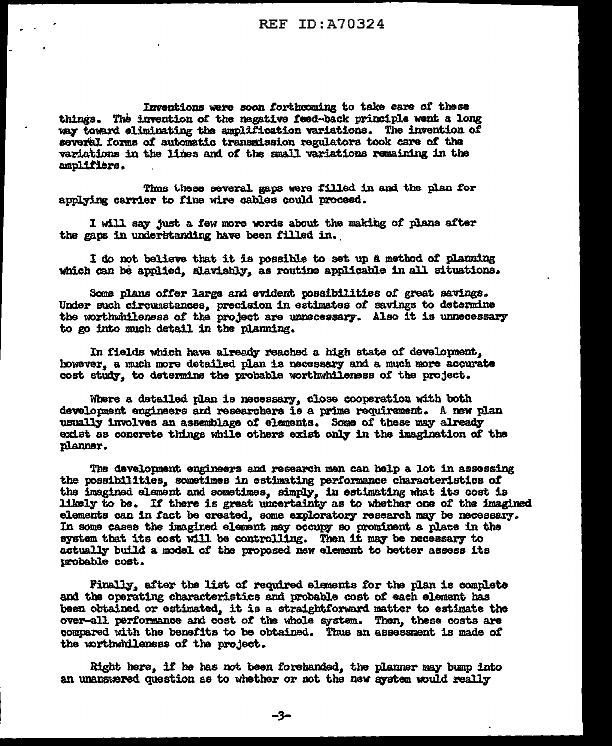Inventions were soon forthcoming to take care of these things. The invention of the negative feed-back principle went a long way toward eliminating the amplification variations. The invention of several forms of automatic transmission regulators took care of the variations in the lines and of the small variations remaining in the amplifiers.

Thus these several gaps were filled in and the plan for applying carrier to fine wire cables could proceed.

I will say just a few more words about the making of plans after the gaps in understanding have been filled in.

I do not believe that it is possible to set up a method of planning which can be applied, slavishly, as routine applicable in all situations.

Some plans offer large and evident possibilities of great savings. Under such circumstances, precision in estimates of savings to determine the worthwhileness of the project are unnecessary. Also it is unnecessary to go into much detail in the planning.

In fields which have already reached a high state of development, however, a much more detailed plan is necessary and a much more accurate cost study, to determine the probable worthwhileness of the project.

Where a detailed plan is necessary, close cooperation with both development engineers and researchers is a prime requirement. A new plan usually involves an assemblage of elements. Some of these may already exist as concrete things while others exist only in the imagination of the planner.

The development engineers and research men can help a lot in assessing the possibilities, sometimes in estimating performance characteristics of the imagined element and sometimes, simply, in estimating what its cost is likely to be. If there is great uncertainty as to whether one of the imagined elements can in fact be created, some exploratory research may be necessary. In some cases the imagined element may occupy so prominent a place in the system that its cost will be controlling. Then it may be necessary to actually build a model of the proposed new element to better assess its probable cost.

Finally, after the list of required elements for the plan is complete and the operating characteristics and probable cost of each element has been obtained or estimated. it is a straightforward matter to estimate the over-all performance and cost of the whole system. Then, these costs are compared with the benefits to be obtained. Thus an assessment is made of the worthwhileness of the project.

Right here, if he has not been forehanded, the planner may bump into an unanswered question as to whether or not the new system would really